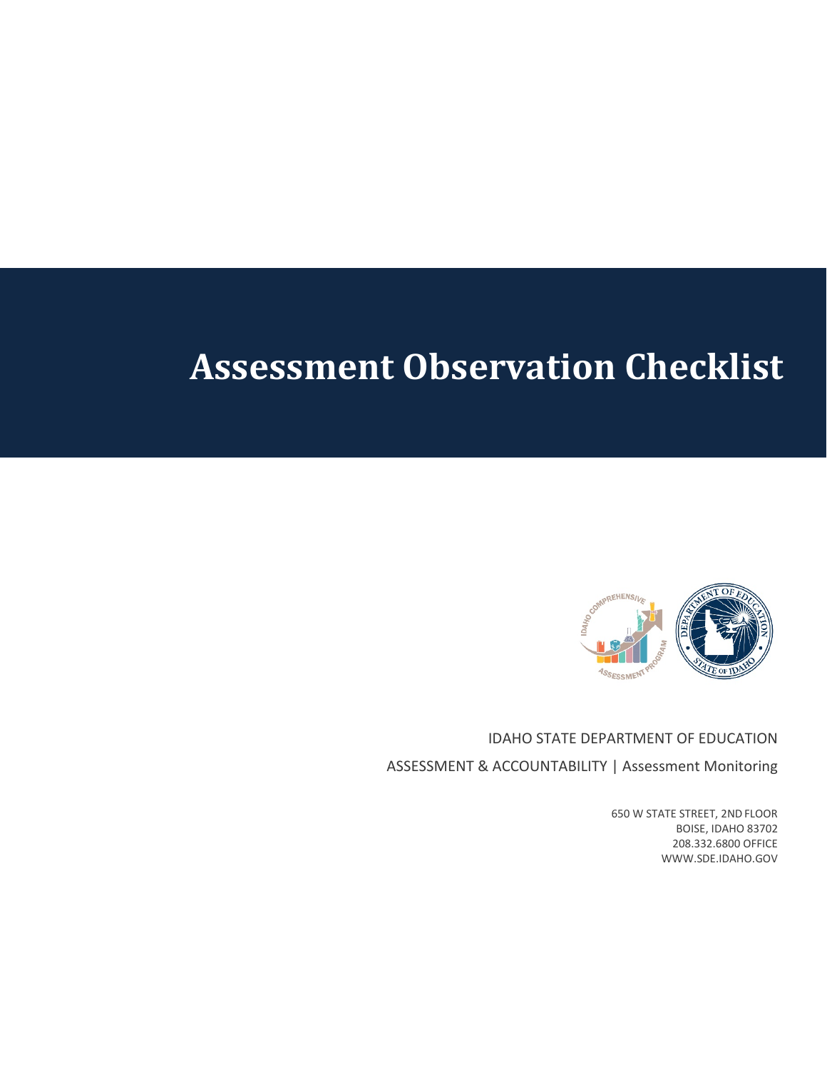## **Assessment Observation Checklist**



IDAHO STATE DEPARTMENT OF EDUCATION ASSESSMENT & ACCOUNTABILITY | Assessment Monitoring

> 650 W STATE STREET, 2ND FLOOR BOISE, IDAHO 83702 208.332.6800 OFFICE WWW.SDE.IDAHO.GOV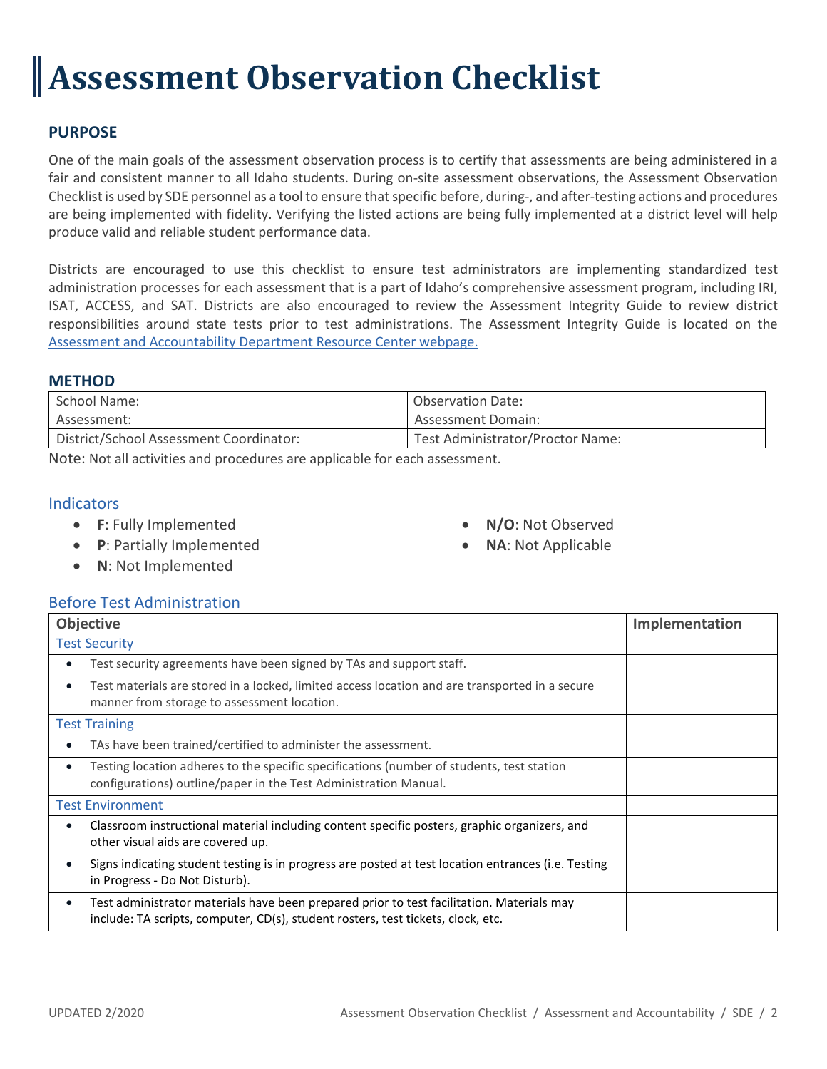# **Assessment Observation Checklist**

## **PURPOSE**

One of the main goals of the assessment observation process is to certify that assessments are being administered in a fair and consistent manner to all Idaho students. During on-site assessment observations, the Assessment Observation Checklist is used by SDE personnel as a tool to ensure that specific before, during-, and after-testing actions and procedures are being implemented with fidelity. Verifying the listed actions are being fully implemented at a district level will help produce valid and reliable student performance data.

Districts are encouraged to use this checklist to ensure test administrators are implementing standardized test administration processes for each assessment that is a part of Idaho's comprehensive assessment program, including IRI, ISAT, ACCESS, and SAT. Districts are also encouraged to review the Assessment Integrity Guide to review district responsibilities around state tests prior to test administrations. The Assessment Integrity Guide is located on the [Assessment and Accountability Department Resource Center webpage.](https://www.sde.idaho.gov/assessment/resource-center.html)

## **METHOD**

| School Name:                            | <b>Observation Date:</b>         |
|-----------------------------------------|----------------------------------|
| Assessment:                             | <b>Assessment Domain:</b>        |
| District/School Assessment Coordinator: | Test Administrator/Proctor Name: |

Note: Not all activities and procedures are applicable for each assessment.

## **Indicators**

- **F**: Fully Implemented
- **P**: Partially Implemented
- **N/O**: Not Observed
- **NA**: Not Applicable

• **N**: Not Implemented

## Before Test Administration

| Objective                                                                                                                                                                          | Implementation |
|------------------------------------------------------------------------------------------------------------------------------------------------------------------------------------|----------------|
| <b>Test Security</b>                                                                                                                                                               |                |
| Test security agreements have been signed by TAs and support staff.                                                                                                                |                |
| Test materials are stored in a locked, limited access location and are transported in a secure<br>manner from storage to assessment location.                                      |                |
| <b>Test Training</b>                                                                                                                                                               |                |
| TAs have been trained/certified to administer the assessment.                                                                                                                      |                |
| Testing location adheres to the specific specifications (number of students, test station<br>$\bullet$<br>configurations) outline/paper in the Test Administration Manual.         |                |
| Test Environment                                                                                                                                                                   |                |
| Classroom instructional material including content specific posters, graphic organizers, and<br>other visual aids are covered up.                                                  |                |
| Signs indicating student testing is in progress are posted at test location entrances (i.e. Testing<br>in Progress - Do Not Disturb).                                              |                |
| Test administrator materials have been prepared prior to test facilitation. Materials may<br>٠<br>include: TA scripts, computer, CD(s), student rosters, test tickets, clock, etc. |                |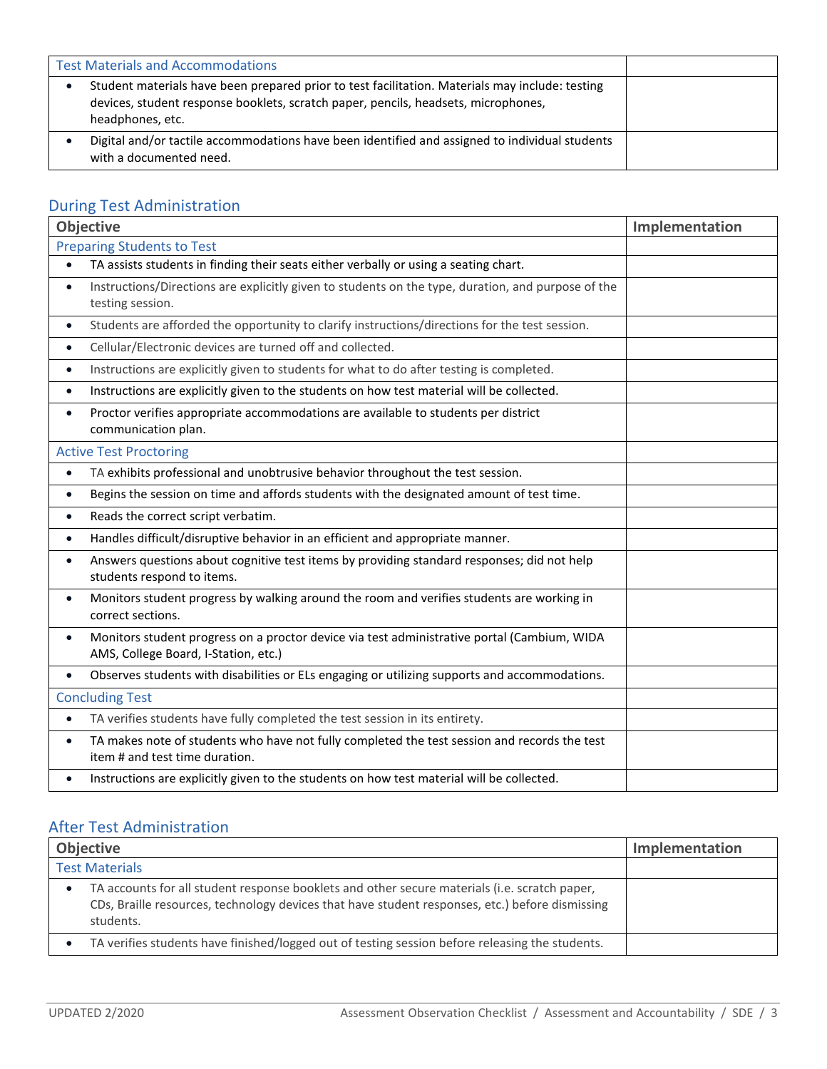| <b>Test Materials and Accommodations</b> |                                                                                                                                                                                                           |  |
|------------------------------------------|-----------------------------------------------------------------------------------------------------------------------------------------------------------------------------------------------------------|--|
|                                          | Student materials have been prepared prior to test facilitation. Materials may include: testing<br>devices, student response booklets, scratch paper, pencils, headsets, microphones,<br>headphones, etc. |  |
|                                          | Digital and/or tactile accommodations have been identified and assigned to individual students<br>with a documented need.                                                                                 |  |

## During Test Administration

| <b>Objective</b>                                                                                                                                 | Implementation |
|--------------------------------------------------------------------------------------------------------------------------------------------------|----------------|
| <b>Preparing Students to Test</b>                                                                                                                |                |
| TA assists students in finding their seats either verbally or using a seating chart.<br>$\bullet$                                                |                |
| Instructions/Directions are explicitly given to students on the type, duration, and purpose of the<br>$\bullet$<br>testing session.              |                |
| Students are afforded the opportunity to clarify instructions/directions for the test session.<br>$\bullet$                                      |                |
| Cellular/Electronic devices are turned off and collected.<br>$\bullet$                                                                           |                |
| Instructions are explicitly given to students for what to do after testing is completed.<br>$\bullet$                                            |                |
| Instructions are explicitly given to the students on how test material will be collected.<br>$\bullet$                                           |                |
| Proctor verifies appropriate accommodations are available to students per district<br>$\bullet$<br>communication plan.                           |                |
| <b>Active Test Proctoring</b>                                                                                                                    |                |
| TA exhibits professional and unobtrusive behavior throughout the test session.<br>$\bullet$                                                      |                |
| Begins the session on time and affords students with the designated amount of test time.<br>$\bullet$                                            |                |
| Reads the correct script verbatim.<br>$\bullet$                                                                                                  |                |
| Handles difficult/disruptive behavior in an efficient and appropriate manner.<br>$\bullet$                                                       |                |
| Answers questions about cognitive test items by providing standard responses; did not help<br>$\bullet$<br>students respond to items.            |                |
| Monitors student progress by walking around the room and verifies students are working in<br>$\bullet$<br>correct sections.                      |                |
| Monitors student progress on a proctor device via test administrative portal (Cambium, WIDA<br>$\bullet$<br>AMS, College Board, I-Station, etc.) |                |
| Observes students with disabilities or ELs engaging or utilizing supports and accommodations.<br>$\bullet$                                       |                |
| <b>Concluding Test</b>                                                                                                                           |                |
| TA verifies students have fully completed the test session in its entirety.<br>$\bullet$                                                         |                |
| TA makes note of students who have not fully completed the test session and records the test<br>$\bullet$<br>item # and test time duration.      |                |
| Instructions are explicitly given to the students on how test material will be collected.<br>$\bullet$                                           |                |

## After Test Administration

| <b>Objective</b>                                                                                                                                                                                              | Implementation |
|---------------------------------------------------------------------------------------------------------------------------------------------------------------------------------------------------------------|----------------|
| <b>Test Materials</b>                                                                                                                                                                                         |                |
| TA accounts for all student response booklets and other secure materials (i.e. scratch paper,<br>CDs, Braille resources, technology devices that have student responses, etc.) before dismissing<br>students. |                |
| TA verifies students have finished/logged out of testing session before releasing the students.                                                                                                               |                |